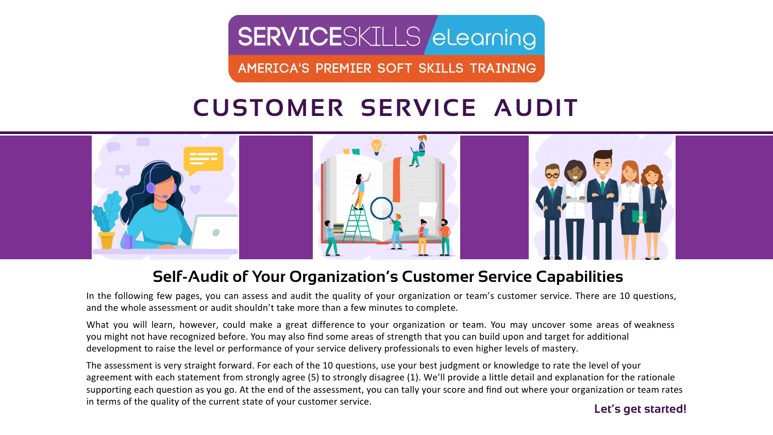# **SERVICE**SKILLS elearning

AMERICA'S PREMIER SOFT SKILLS TRAINING

## **Self-Audit of Your Organization's Customer Service Capabilities**

In the following few pages, you can assess and audit the quality of your organization or team's customer service. There are 10 questions, and the whole assessment or audit shouldn't take more than a few minutes to complete.

The assessment is very straight forward. For each of the 10 questions, use your best judgment or knowledge to rate the level of your agreement with each statement from strongly agree (5) to strongly disagree (1). We'll provide a little detail and explanation for the rationale supporting each question as you go. At the end of the assessment, you can tally your score and find out where your organization or team rates in terms of the quality of the current state of your customer service.<br> **Let's get started!** 

What you will learn, however, could make a great difference to your organization or team. You may uncover some areas of weakness you might not have recognized before. You may also find some areas of strength that you can build upon and target for additional development to raise the level or performance of your service delivery professionals to even higher levels of mastery.

# **CUSTOMER SERVICE AUDIT**

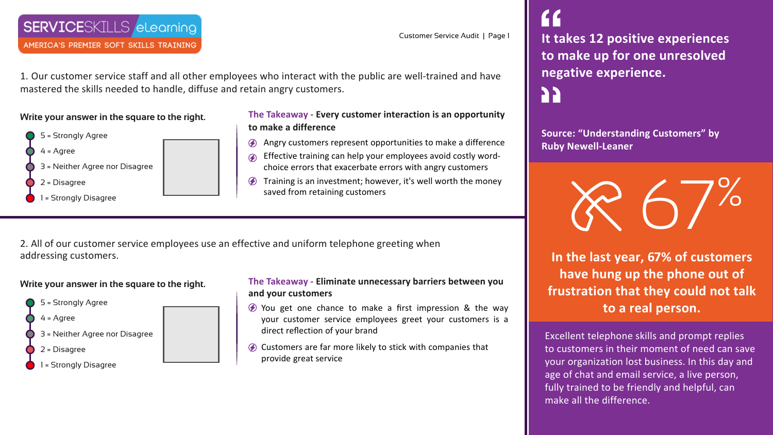AMERICA'S PREMIER SOFT SKILLS TRAINING

**Source: "Understanding Customers" by Ruby Newell-Leaner**

Excellent telephone skills and prompt replies to customers in their moment of need can save your organization lost business. In this day and age of chat and email service, a live person, fully trained to be friendly and helpful, can

make all the difference.



**In the last year, 67% of customers have hung up the phone out of frustration that they could not talk to a real person.**

1. Our customer service staff and all other employees who interact with the public are well-trained and have mastered the skills needed to handle, diffuse and retain angry customers.

**Write your answer in the square to the right.**



- $\circledA$  You get one chance to make a first impression & the way your customer service employees greet your customers is a direct reflection of your brand
- $\oslash$  Customers are far more likely to stick with companies that provide great service

### **The Takeaway - Every customer interaction is an opportunity to make a difference**

- Angry customers represent opportunities to make a difference
- Effective training can help your employees avoid costly wordchoice errors that exacerbate errors with angry customers
- $\circledA$  Training is an investment; however, it's well worth the money saved from retaining customers

2. All of our customer service employees use an effective and uniform telephone greeting when addressing customers.

## **Write your answer in the square to the right.**



### **The Takeaway - Eliminate unnecessary barriers between you and your customers**

Customer Service Audit | Page 1

# **It takes 12 positive experiences to make up for one unresolved negative experience.**  PP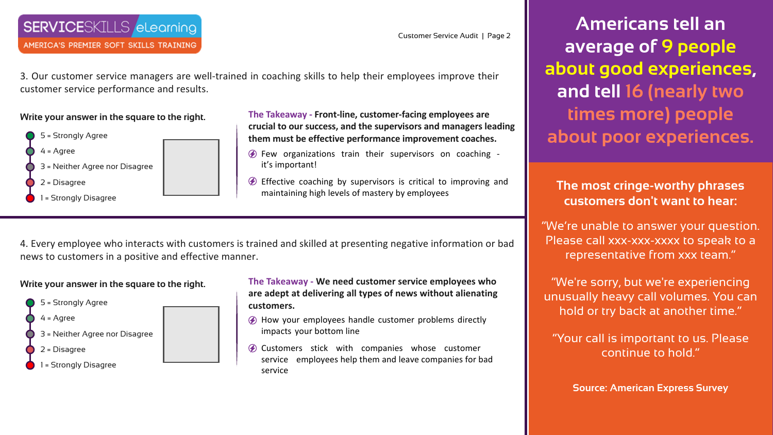# **SERVICE**SKILLS elearning

AMERICA'S PREMIER SOFT SKILLS TRAINING

3. Our customer service managers are well-trained in coaching skills to help their employees improve their customer service performance and results.

**Write your answer in the square to the right.**



- $\circledA$  Few organizations train their supervisors on coaching it's important!
- $\circled{2}$  Effective coaching by supervisors is critical to improving and maintaining high levels of mastery by employees

**The Takeaway - Front-line, customer-facing employees are crucial to our success, and the supervisors and managers leading them must be effective performance improvement coaches.**

4. Every employee who interacts with customers is trained and skilled at presenting negative information or bad news to customers in a positive and effective manner.

### **Write your answer in the square to the right.**



- **The Takeaway We need customer service employees who are adept at delivering all types of news without alienating customers.**
- How your employees handle customer problems directly impacts your bottom line
- $\circledA$  Customers stick with companies whose customer service employees help them and leave companies for bad service

**Americans tell an average of 9 people about good experiences, and tell 16 (nearly two times more) people about poor experiences.**

**The most cringe-worthy phrases customers don't want to hear:**

"We're unable to answer your question. Please call xxx-xxx-xxxx to speak to a representative from xxx team."

"We're sorry, but we're experiencing unusually heavy call volumes. You can hold or try back at another time."

"Your call is important to us. Please continue to hold."

**Source: American Express Survey**

Customer Service Audit | Page 2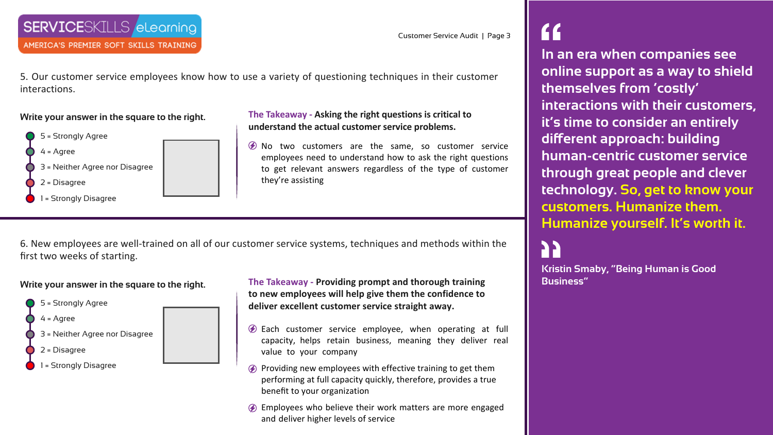AMERICA'S PREMIER SOFT SKILLS TRAINING

5. Our customer service employees know how to use a variety of questioning techniques in their customer

interactions.

**Write your answer in the square to the right.**

5 = Strongly Agree

4 = Agree

1 = Strongly Disagree

2 = Disagree

3 = Neither Agree nor Disagree

 $\emptyset$  No two customers are the same, so customer service employees need to understand how to ask the right questions to get relevant answers regardless of the type of customer they're assisting

**The Takeaway - Asking the right questions is critical to understand the actual customer service problems.**

6. New employees are well-trained on all of our customer service systems, techniques and methods within the first two weeks of starting.

- $\circledP$  Each customer service employee, when operating at full capacity, helps retain business, meaning they deliver real value to your company
- $\circledA$  Providing new employees with effective training to get them performing at full capacity quickly, therefore, provides a true benefit to your organization
- Employees who believe their work matters are more engaged and deliver higher levels of service

#### **Write your answer in the square to the right.**



גג **Business"**

**The Takeaway - Providing prompt and thorough training to new employees will help give them the confidence to deliver excellent customer service straight away.**

# **In an era when companies see online support as a way to shield**

**themselves from 'costly'** 

**interactions with their customers, it's time to consider an entirely different approach: building** 

**human-centric customer service** 

**through great people and clever technology. So, get to know your customers. Humanize them.** 

**Humanize yourself. It's worth it.**

**Kristin Smaby, "Being Human is Good**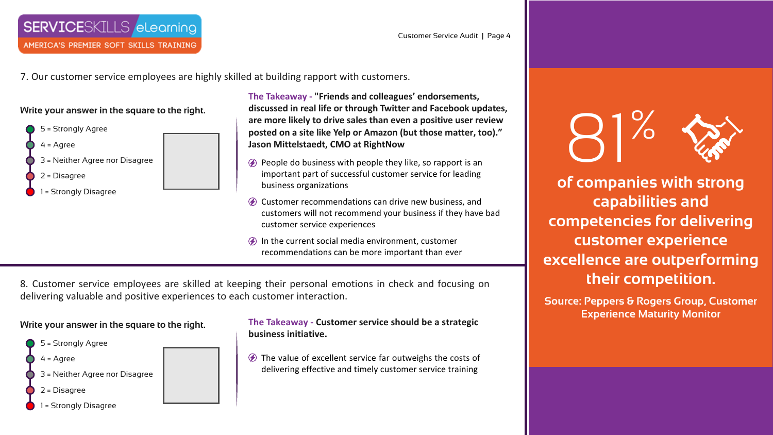7. Our customer service employees are highly skilled at building rapport with customers.

## **Write your answer in the square to the right.**



**The Takeaway - "Friends and colleagues' endorsements, discussed in real life or through Twitter and Facebook updates, are more likely to drive sales than even a positive user review posted on a site like Yelp or Amazon (but those matter, too)." Jason Mittelstaedt, CMO at RightNow**

- $\circled{P}$  People do business with people they like, so rapport is an important part of successful customer service for leading business organizations
- Customer recommendations can drive new business, and customers will not recommend your business if they have bad customer service experiences
- $\circledA$  In the current social media environment, customer recommendations can be more important than ever

 $\circledA$  The value of excellent service far outweighs the costs of delivering effective and timely customer service training

8. Customer service employees are skilled at keeping their personal emotions in check and focusing on delivering valuable and positive experiences to each customer interaction.

#### **Write your answer in the square to the right.**



#### **The Takeaway - Customer service should be a strategic business initiative.**

81% **of companies with strong capabilities and competencies for delivering customer experience excellence are outperforming their competition.** 

**Source: Peppers & Rogers Group, Customer Experience Maturity Monitor**





# **SERVICE**SKILLS elearning

AMERICA'S PREMIER SOFT SKILLS TRAINING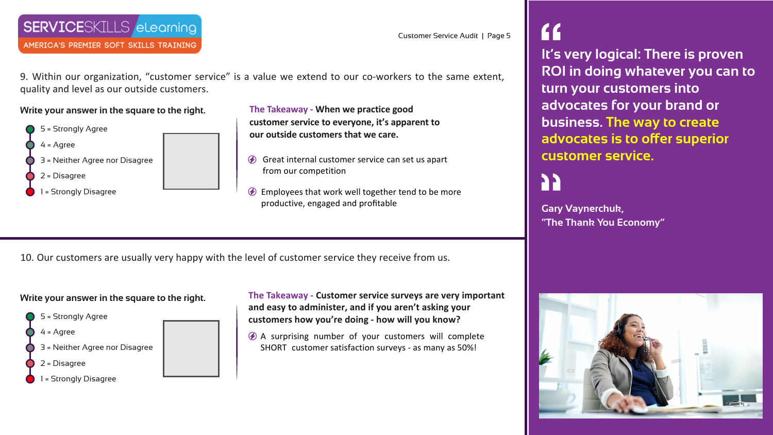## **SERVICE**SKILLS elearning

AMERICA'S PREMIER SOFT SKILLS TRAINING

9. Within our organization, "customer service" is a value we extend to our co-workers to the same extent, quality and level as our outside customers.

**Write your answer in the square to the right.**



- Great internal customer service can set us apart from our competition
- $\circledA$  Employees that work well together tend to be more productive, engaged and profitable

**The Takeaway - When we practice good customer service to everyone, it's apparent to our outside customers that we care.**

10. Our customers are usually very happy with the level of customer service they receive from us.

### **Write your answer in the square to the right.**



**The Takeaway - Customer service surveys are very important and easy to administer, and if you aren't asking your customers how you're doing - how will you know?**

A surprising number of your customers will complete SHORT customer satisfaction surveys - as many as 50%!



**Gary Vaynerchuk, "The Thank You Economy"**

# **It's very logical: There is proven ROI in doing whatever you can to turn your customers into advocates for your brand or business. The way to create advocates is to offer superior**

**customer service.**

Customer Service Audit | Page 5